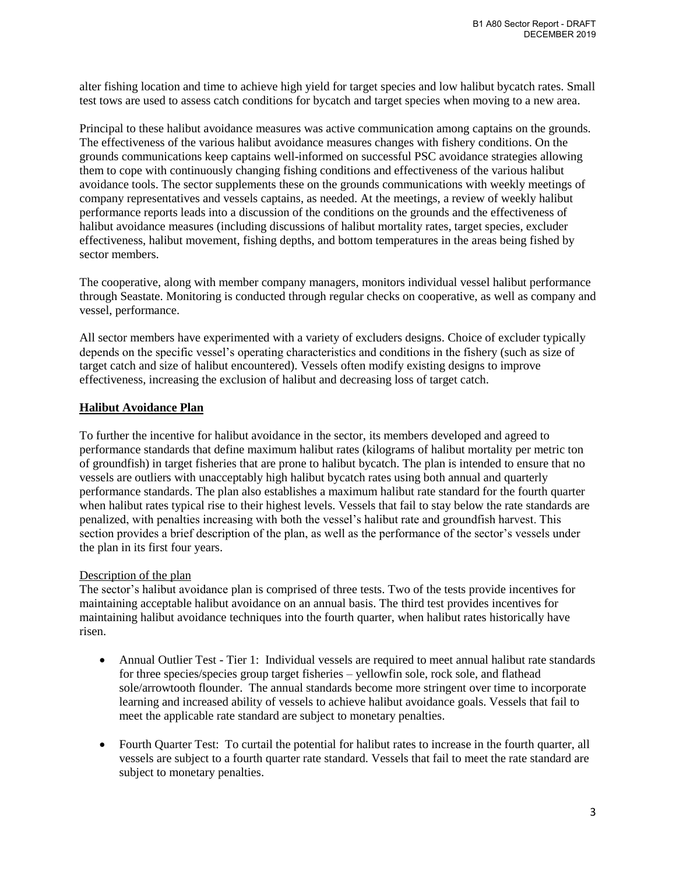alter fishing location and time to achieve high yield for target species and low halibut bycatch rates. Small test tows are used to assess catch conditions for bycatch and target species when moving to a new area.

Principal to these halibut avoidance measures was active communication among captains on the grounds. The effectiveness of the various halibut avoidance measures changes with fishery conditions. On the grounds communications keep captains well-informed on successful PSC avoidance strategies allowing them to cope with continuously changing fishing conditions and effectiveness of the various halibut avoidance tools. The sector supplements these on the grounds communications with weekly meetings of company representatives and vessels captains, as needed. At the meetings, a review of weekly halibut performance reports leads into a discussion of the conditions on the grounds and the effectiveness of halibut avoidance measures (including discussions of halibut mortality rates, target species, excluder effectiveness, halibut movement, fishing depths, and bottom temperatures in the areas being fished by sector members.

The cooperative, along with member company managers, monitors individual vessel halibut performance through Seastate. Monitoring is conducted through regular checks on cooperative, as well as company and vessel, performance.

All sector members have experimented with a variety of excluders designs. Choice of excluder typically depends on the specific vessel's operating characteristics and conditions in the fishery (such as size of target catch and size of halibut encountered). Vessels often modify existing designs to improve effectiveness, increasing the exclusion of halibut and decreasing loss of target catch.

## **Halibut Avoidance Plan**

To further the incentive for halibut avoidance in the sector, its members developed and agreed to performance standards that define maximum halibut rates (kilograms of halibut mortality per metric ton of groundfish) in target fisheries that are prone to halibut bycatch. The plan is intended to ensure that no vessels are outliers with unacceptably high halibut bycatch rates using both annual and quarterly performance standards. The plan also establishes a maximum halibut rate standard for the fourth quarter when halibut rates typical rise to their highest levels. Vessels that fail to stay below the rate standards are penalized, with penalties increasing with both the vessel's halibut rate and groundfish harvest. This section provides a brief description of the plan, as well as the performance of the sector's vessels under the plan in its first four years.

#### Description of the plan

The sector's halibut avoidance plan is comprised of three tests. Two of the tests provide incentives for maintaining acceptable halibut avoidance on an annual basis. The third test provides incentives for maintaining halibut avoidance techniques into the fourth quarter, when halibut rates historically have risen.

- Annual Outlier Test Tier 1: Individual vessels are required to meet annual halibut rate standards for three species/species group target fisheries – yellowfin sole, rock sole, and flathead sole/arrowtooth flounder. The annual standards become more stringent over time to incorporate learning and increased ability of vessels to achieve halibut avoidance goals. Vessels that fail to meet the applicable rate standard are subject to monetary penalties.
- Fourth Quarter Test: To curtail the potential for halibut rates to increase in the fourth quarter, all vessels are subject to a fourth quarter rate standard. Vessels that fail to meet the rate standard are subject to monetary penalties.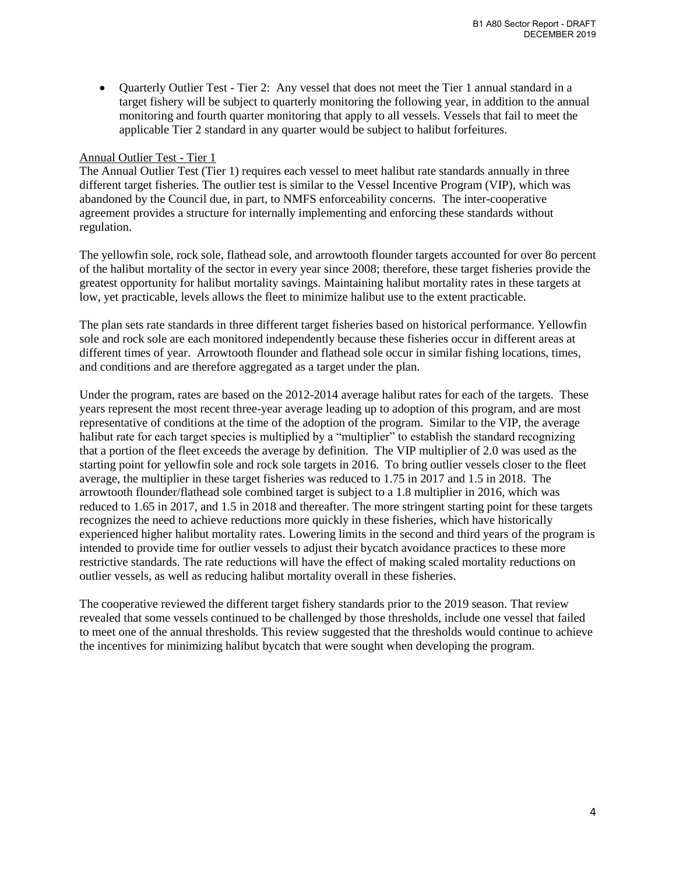• Quarterly Outlier Test - Tier 2: Any vessel that does not meet the Tier 1 annual standard in a target fishery will be subject to quarterly monitoring the following year, in addition to the annual monitoring and fourth quarter monitoring that apply to all vessels. Vessels that fail to meet the applicable Tier 2 standard in any quarter would be subject to halibut forfeitures.

## Annual Outlier Test - Tier 1

The Annual Outlier Test (Tier 1) requires each vessel to meet halibut rate standards annually in three different target fisheries. The outlier test is similar to the Vessel Incentive Program (VIP), which was abandoned by the Council due, in part, to NMFS enforceability concerns. The inter-cooperative agreement provides a structure for internally implementing and enforcing these standards without regulation.

The yellowfin sole, rock sole, flathead sole, and arrowtooth flounder targets accounted for over 8o percent of the halibut mortality of the sector in every year since 2008; therefore, these target fisheries provide the greatest opportunity for halibut mortality savings. Maintaining halibut mortality rates in these targets at low, yet practicable, levels allows the fleet to minimize halibut use to the extent practicable.

The plan sets rate standards in three different target fisheries based on historical performance. Yellowfin sole and rock sole are each monitored independently because these fisheries occur in different areas at different times of year. Arrowtooth flounder and flathead sole occur in similar fishing locations, times, and conditions and are therefore aggregated as a target under the plan.

Under the program, rates are based on the 2012-2014 average halibut rates for each of the targets. These years represent the most recent three-year average leading up to adoption of this program, and are most representative of conditions at the time of the adoption of the program. Similar to the VIP, the average halibut rate for each target species is multiplied by a "multiplier" to establish the standard recognizing that a portion of the fleet exceeds the average by definition. The VIP multiplier of 2.0 was used as the starting point for yellowfin sole and rock sole targets in 2016. To bring outlier vessels closer to the fleet average, the multiplier in these target fisheries was reduced to 1.75 in 2017 and 1.5 in 2018. The arrowtooth flounder/flathead sole combined target is subject to a 1.8 multiplier in 2016, which was reduced to 1.65 in 2017, and 1.5 in 2018 and thereafter. The more stringent starting point for these targets recognizes the need to achieve reductions more quickly in these fisheries, which have historically experienced higher halibut mortality rates. Lowering limits in the second and third years of the program is intended to provide time for outlier vessels to adjust their bycatch avoidance practices to these more restrictive standards. The rate reductions will have the effect of making scaled mortality reductions on outlier vessels, as well as reducing halibut mortality overall in these fisheries.

The cooperative reviewed the different target fishery standards prior to the 2019 season. That review revealed that some vessels continued to be challenged by those thresholds, include one vessel that failed to meet one of the annual thresholds. This review suggested that the thresholds would continue to achieve the incentives for minimizing halibut bycatch that were sought when developing the program.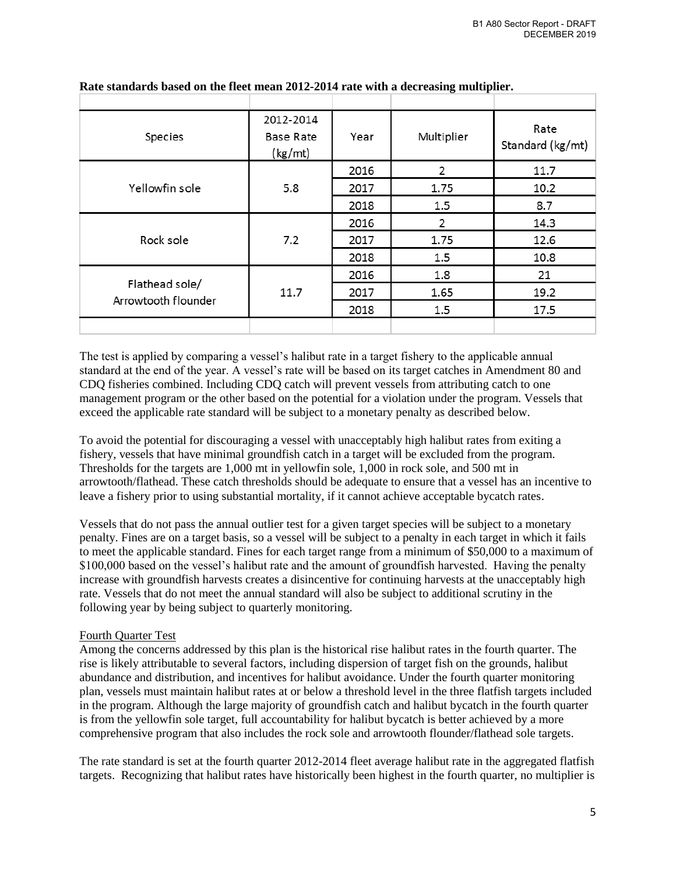| Species                               | 2012-2014<br>Base Rate<br>(kg/mt)                   | Year | Multiplier | Rate<br>Standard (kg/mt) |
|---------------------------------------|-----------------------------------------------------|------|------------|--------------------------|
|                                       |                                                     | 2016 | 2          | 11.7                     |
| Yellowfin sole                        | 5.8                                                 | 2017 | 1.75       | 10.2                     |
|                                       |                                                     | 2018 | 1.5        | 8.7                      |
| Rock sole                             | 2016<br>7.2<br>2017<br>2018<br>2016<br>11.7<br>2017 |      | 2          | 14.3                     |
|                                       |                                                     | 1.75 | 12.6       |                          |
|                                       |                                                     |      | 1.5        | 10.8                     |
| Flathead sole/<br>Arrowtooth flounder |                                                     |      | 1.8        | 21                       |
|                                       |                                                     |      | 1.65       | 19.2                     |
|                                       |                                                     | 2018 | 1.5        | 17.5                     |
|                                       |                                                     |      |            |                          |

#### **Rate standards based on the fleet mean 2012-2014 rate with a decreasing multiplier.**

The test is applied by comparing a vessel's halibut rate in a target fishery to the applicable annual standard at the end of the year. A vessel's rate will be based on its target catches in Amendment 80 and CDQ fisheries combined. Including CDQ catch will prevent vessels from attributing catch to one management program or the other based on the potential for a violation under the program. Vessels that exceed the applicable rate standard will be subject to a monetary penalty as described below.

To avoid the potential for discouraging a vessel with unacceptably high halibut rates from exiting a fishery, vessels that have minimal groundfish catch in a target will be excluded from the program. Thresholds for the targets are 1,000 mt in yellowfin sole, 1,000 in rock sole, and 500 mt in arrowtooth/flathead. These catch thresholds should be adequate to ensure that a vessel has an incentive to leave a fishery prior to using substantial mortality, if it cannot achieve acceptable bycatch rates.

Vessels that do not pass the annual outlier test for a given target species will be subject to a monetary penalty. Fines are on a target basis, so a vessel will be subject to a penalty in each target in which it fails to meet the applicable standard. Fines for each target range from a minimum of \$50,000 to a maximum of \$100,000 based on the vessel's halibut rate and the amount of groundfish harvested. Having the penalty increase with groundfish harvests creates a disincentive for continuing harvests at the unacceptably high rate. Vessels that do not meet the annual standard will also be subject to additional scrutiny in the following year by being subject to quarterly monitoring.

## Fourth Quarter Test

Among the concerns addressed by this plan is the historical rise halibut rates in the fourth quarter. The rise is likely attributable to several factors, including dispersion of target fish on the grounds, halibut abundance and distribution, and incentives for halibut avoidance. Under the fourth quarter monitoring plan, vessels must maintain halibut rates at or below a threshold level in the three flatfish targets included in the program. Although the large majority of groundfish catch and halibut bycatch in the fourth quarter is from the yellowfin sole target, full accountability for halibut bycatch is better achieved by a more comprehensive program that also includes the rock sole and arrowtooth flounder/flathead sole targets.

The rate standard is set at the fourth quarter 2012-2014 fleet average halibut rate in the aggregated flatfish targets. Recognizing that halibut rates have historically been highest in the fourth quarter, no multiplier is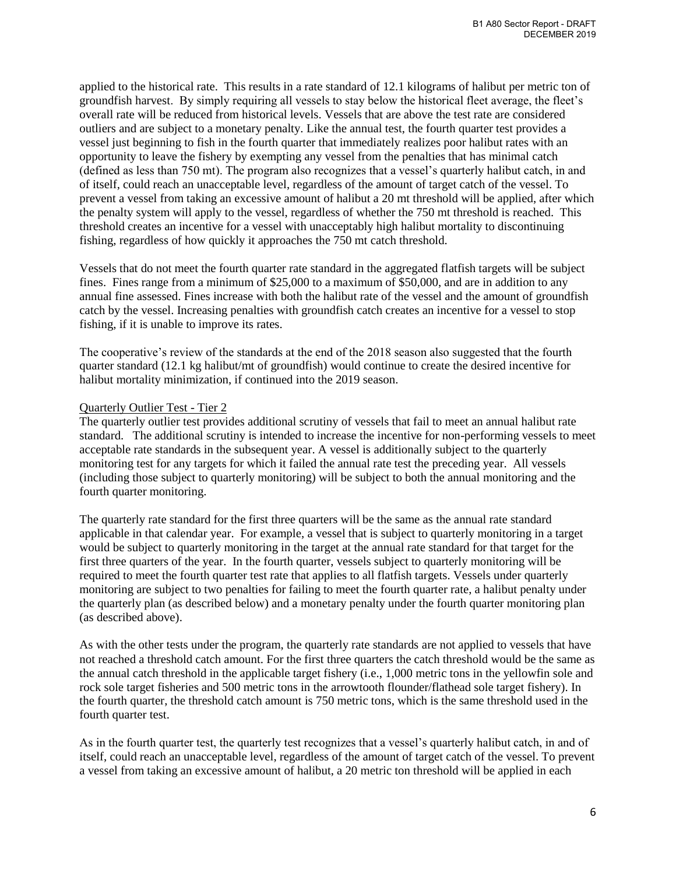applied to the historical rate. This results in a rate standard of 12.1 kilograms of halibut per metric ton of groundfish harvest. By simply requiring all vessels to stay below the historical fleet average, the fleet's overall rate will be reduced from historical levels. Vessels that are above the test rate are considered outliers and are subject to a monetary penalty. Like the annual test, the fourth quarter test provides a vessel just beginning to fish in the fourth quarter that immediately realizes poor halibut rates with an opportunity to leave the fishery by exempting any vessel from the penalties that has minimal catch (defined as less than 750 mt). The program also recognizes that a vessel's quarterly halibut catch, in and of itself, could reach an unacceptable level, regardless of the amount of target catch of the vessel. To prevent a vessel from taking an excessive amount of halibut a 20 mt threshold will be applied, after which the penalty system will apply to the vessel, regardless of whether the 750 mt threshold is reached. This threshold creates an incentive for a vessel with unacceptably high halibut mortality to discontinuing fishing, regardless of how quickly it approaches the 750 mt catch threshold.

Vessels that do not meet the fourth quarter rate standard in the aggregated flatfish targets will be subject fines. Fines range from a minimum of \$25,000 to a maximum of \$50,000, and are in addition to any annual fine assessed. Fines increase with both the halibut rate of the vessel and the amount of groundfish catch by the vessel. Increasing penalties with groundfish catch creates an incentive for a vessel to stop fishing, if it is unable to improve its rates.

The cooperative's review of the standards at the end of the 2018 season also suggested that the fourth quarter standard (12.1 kg halibut/mt of groundfish) would continue to create the desired incentive for halibut mortality minimization, if continued into the 2019 season.

### Quarterly Outlier Test - Tier 2

The quarterly outlier test provides additional scrutiny of vessels that fail to meet an annual halibut rate standard. The additional scrutiny is intended to increase the incentive for non-performing vessels to meet acceptable rate standards in the subsequent year. A vessel is additionally subject to the quarterly monitoring test for any targets for which it failed the annual rate test the preceding year. All vessels (including those subject to quarterly monitoring) will be subject to both the annual monitoring and the fourth quarter monitoring.

The quarterly rate standard for the first three quarters will be the same as the annual rate standard applicable in that calendar year. For example, a vessel that is subject to quarterly monitoring in a target would be subject to quarterly monitoring in the target at the annual rate standard for that target for the first three quarters of the year. In the fourth quarter, vessels subject to quarterly monitoring will be required to meet the fourth quarter test rate that applies to all flatfish targets. Vessels under quarterly monitoring are subject to two penalties for failing to meet the fourth quarter rate, a halibut penalty under the quarterly plan (as described below) and a monetary penalty under the fourth quarter monitoring plan (as described above).

As with the other tests under the program, the quarterly rate standards are not applied to vessels that have not reached a threshold catch amount. For the first three quarters the catch threshold would be the same as the annual catch threshold in the applicable target fishery (i.e., 1,000 metric tons in the yellowfin sole and rock sole target fisheries and 500 metric tons in the arrowtooth flounder/flathead sole target fishery). In the fourth quarter, the threshold catch amount is 750 metric tons, which is the same threshold used in the fourth quarter test.

As in the fourth quarter test, the quarterly test recognizes that a vessel's quarterly halibut catch, in and of itself, could reach an unacceptable level, regardless of the amount of target catch of the vessel. To prevent a vessel from taking an excessive amount of halibut, a 20 metric ton threshold will be applied in each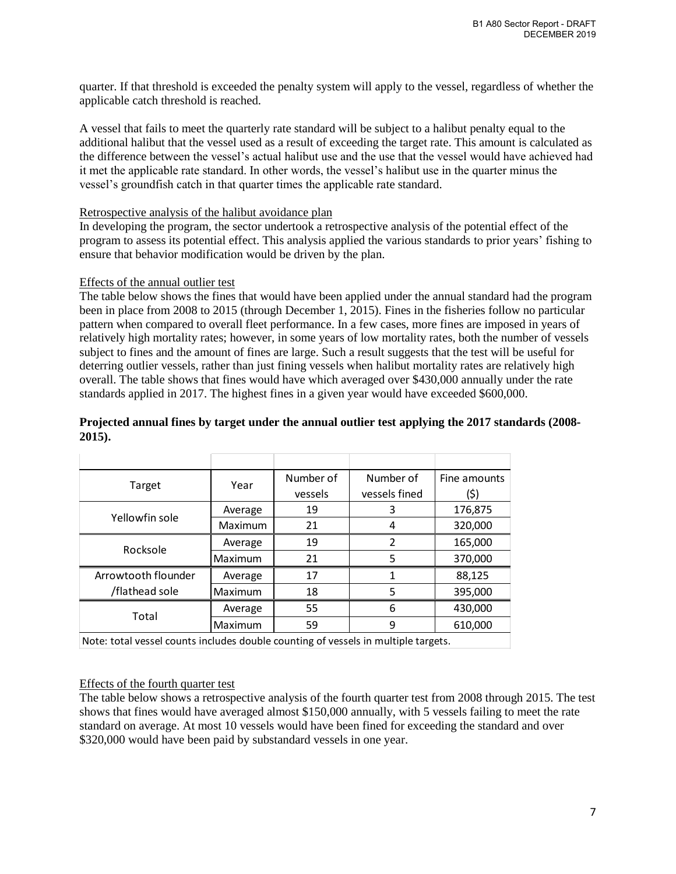quarter. If that threshold is exceeded the penalty system will apply to the vessel, regardless of whether the applicable catch threshold is reached.

A vessel that fails to meet the quarterly rate standard will be subject to a halibut penalty equal to the additional halibut that the vessel used as a result of exceeding the target rate. This amount is calculated as the difference between the vessel's actual halibut use and the use that the vessel would have achieved had it met the applicable rate standard. In other words, the vessel's halibut use in the quarter minus the vessel's groundfish catch in that quarter times the applicable rate standard.

#### Retrospective analysis of the halibut avoidance plan

In developing the program, the sector undertook a retrospective analysis of the potential effect of the program to assess its potential effect. This analysis applied the various standards to prior years' fishing to ensure that behavior modification would be driven by the plan.

### Effects of the annual outlier test

The table below shows the fines that would have been applied under the annual standard had the program been in place from 2008 to 2015 (through December 1, 2015). Fines in the fisheries follow no particular pattern when compared to overall fleet performance. In a few cases, more fines are imposed in years of relatively high mortality rates; however, in some years of low mortality rates, both the number of vessels subject to fines and the amount of fines are large. Such a result suggests that the test will be useful for deterring outlier vessels, rather than just fining vessels when halibut mortality rates are relatively high overall. The table shows that fines would have which averaged over \$430,000 annually under the rate standards applied in 2017. The highest fines in a given year would have exceeded \$600,000.

# **Projected annual fines by target under the annual outlier test applying the 2017 standards (2008- 2015).**

|                                                                                    | Year    | Number of | Number of     | Fine amounts |
|------------------------------------------------------------------------------------|---------|-----------|---------------|--------------|
| Target                                                                             |         | vessels   | vessels fined | (\$)         |
| Yellowfin sole                                                                     | Average | 19        | 3             | 176,875      |
|                                                                                    | Maximum | 21        | 4             | 320,000      |
| Rocksole                                                                           | Average | 19        | 2             | 165,000      |
|                                                                                    | Maximum | 21        | 5             | 370,000      |
| Arrowtooth flounder                                                                | Average | 17        | 1             | 88,125       |
| /flathead sole                                                                     | Maximum | 18        | 5             | 395,000      |
| Total                                                                              | Average | 55        | 6             | 430,000      |
|                                                                                    | Maximum | 59        | 9             | 610,000      |
| Note: total vessel counts includes double counting of vessels in multiple targets. |         |           |               |              |

#### Effects of the fourth quarter test

The table below shows a retrospective analysis of the fourth quarter test from 2008 through 2015. The test shows that fines would have averaged almost \$150,000 annually, with 5 vessels failing to meet the rate standard on average. At most 10 vessels would have been fined for exceeding the standard and over \$320,000 would have been paid by substandard vessels in one year.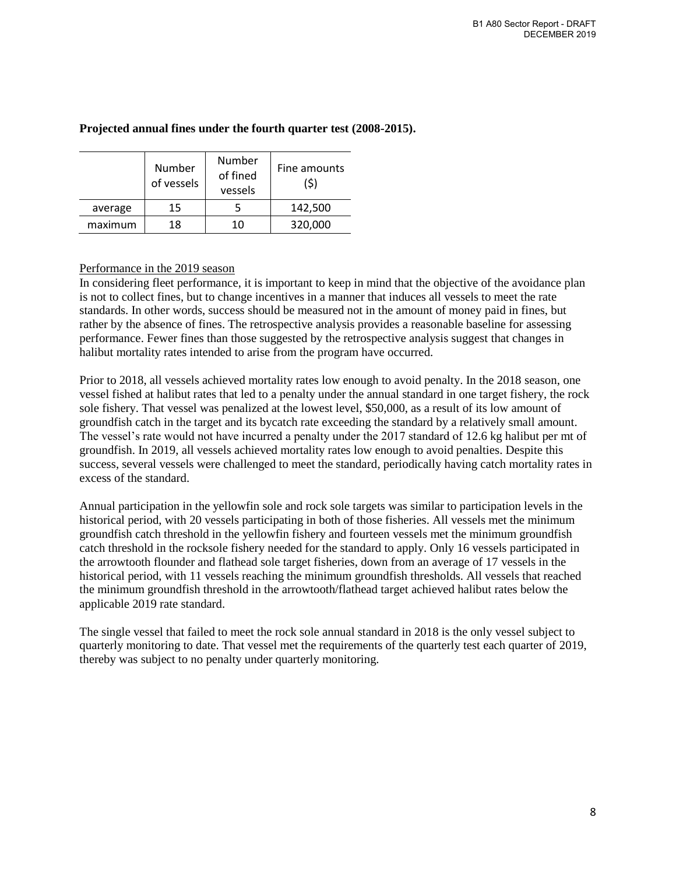|         | Number<br>of vessels | Number<br>of fined<br>vessels | Fine amounts<br>(\$) |
|---------|----------------------|-------------------------------|----------------------|
| average | 15                   |                               | 142,500              |
| maximum | 18                   | 10                            | 320,000              |

# **Projected annual fines under the fourth quarter test (2008-2015).**

### Performance in the 2019 season

In considering fleet performance, it is important to keep in mind that the objective of the avoidance plan is not to collect fines, but to change incentives in a manner that induces all vessels to meet the rate standards. In other words, success should be measured not in the amount of money paid in fines, but rather by the absence of fines. The retrospective analysis provides a reasonable baseline for assessing performance. Fewer fines than those suggested by the retrospective analysis suggest that changes in halibut mortality rates intended to arise from the program have occurred.

Prior to 2018, all vessels achieved mortality rates low enough to avoid penalty. In the 2018 season, one vessel fished at halibut rates that led to a penalty under the annual standard in one target fishery, the rock sole fishery. That vessel was penalized at the lowest level, \$50,000, as a result of its low amount of groundfish catch in the target and its bycatch rate exceeding the standard by a relatively small amount. The vessel's rate would not have incurred a penalty under the 2017 standard of 12.6 kg halibut per mt of groundfish. In 2019, all vessels achieved mortality rates low enough to avoid penalties. Despite this success, several vessels were challenged to meet the standard, periodically having catch mortality rates in excess of the standard.

Annual participation in the yellowfin sole and rock sole targets was similar to participation levels in the historical period, with 20 vessels participating in both of those fisheries. All vessels met the minimum groundfish catch threshold in the yellowfin fishery and fourteen vessels met the minimum groundfish catch threshold in the rocksole fishery needed for the standard to apply. Only 16 vessels participated in the arrowtooth flounder and flathead sole target fisheries, down from an average of 17 vessels in the historical period, with 11 vessels reaching the minimum groundfish thresholds. All vessels that reached the minimum groundfish threshold in the arrowtooth/flathead target achieved halibut rates below the applicable 2019 rate standard.

The single vessel that failed to meet the rock sole annual standard in 2018 is the only vessel subject to quarterly monitoring to date. That vessel met the requirements of the quarterly test each quarter of 2019, thereby was subject to no penalty under quarterly monitoring.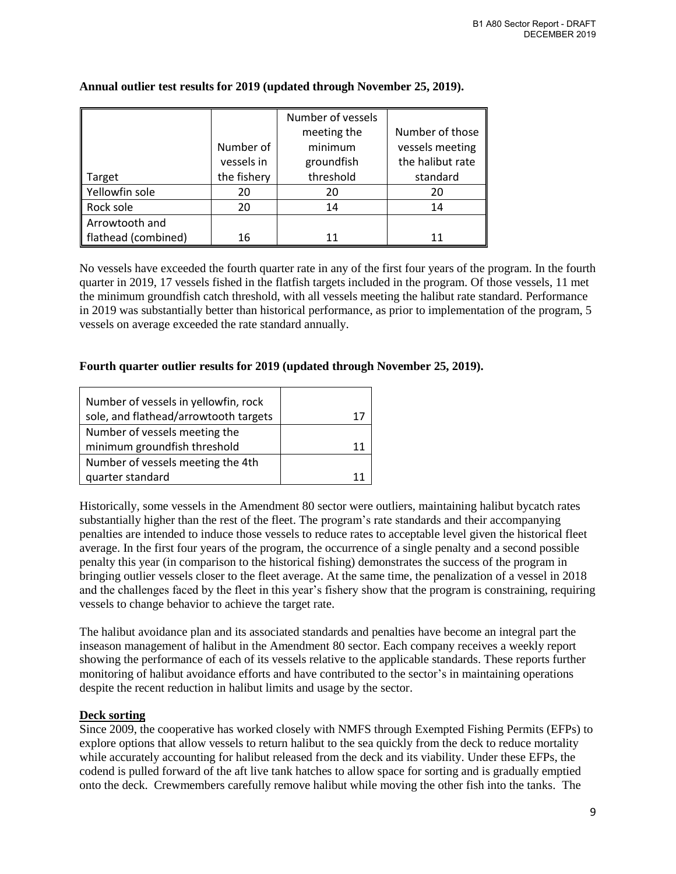|                     |             | Number of vessels |                  |
|---------------------|-------------|-------------------|------------------|
|                     |             | meeting the       | Number of those  |
|                     | Number of   | minimum           | vessels meeting  |
|                     | vessels in  | groundfish        | the halibut rate |
| Target              | the fishery | threshold         | standard         |
| Yellowfin sole      | 20          | 20                | 20               |
| Rock sole           | 20          | 14                | 14               |
| Arrowtooth and      |             |                   |                  |
| flathead (combined) | 16          | 11                |                  |

### **Annual outlier test results for 2019 (updated through November 25, 2019).**

No vessels have exceeded the fourth quarter rate in any of the first four years of the program. In the fourth quarter in 2019, 17 vessels fished in the flatfish targets included in the program. Of those vessels, 11 met the minimum groundfish catch threshold, with all vessels meeting the halibut rate standard. Performance in 2019 was substantially better than historical performance, as prior to implementation of the program, 5 vessels on average exceeded the rate standard annually.

## **Fourth quarter outlier results for 2019 (updated through November 25, 2019).**

| Number of vessels in yellowfin, rock<br>sole, and flathead/arrowtooth targets |  |
|-------------------------------------------------------------------------------|--|
| Number of vessels meeting the                                                 |  |
| minimum groundfish threshold                                                  |  |
| Number of vessels meeting the 4th                                             |  |
| quarter standard                                                              |  |

Historically, some vessels in the Amendment 80 sector were outliers, maintaining halibut bycatch rates substantially higher than the rest of the fleet. The program's rate standards and their accompanying penalties are intended to induce those vessels to reduce rates to acceptable level given the historical fleet average. In the first four years of the program, the occurrence of a single penalty and a second possible penalty this year (in comparison to the historical fishing) demonstrates the success of the program in bringing outlier vessels closer to the fleet average. At the same time, the penalization of a vessel in 2018 and the challenges faced by the fleet in this year's fishery show that the program is constraining, requiring vessels to change behavior to achieve the target rate.

The halibut avoidance plan and its associated standards and penalties have become an integral part the inseason management of halibut in the Amendment 80 sector. Each company receives a weekly report showing the performance of each of its vessels relative to the applicable standards. These reports further monitoring of halibut avoidance efforts and have contributed to the sector's in maintaining operations despite the recent reduction in halibut limits and usage by the sector.

## **Deck sorting**

Since 2009, the cooperative has worked closely with NMFS through Exempted Fishing Permits (EFPs) to explore options that allow vessels to return halibut to the sea quickly from the deck to reduce mortality while accurately accounting for halibut released from the deck and its viability. Under these EFPs, the codend is pulled forward of the aft live tank hatches to allow space for sorting and is gradually emptied onto the deck. Crewmembers carefully remove halibut while moving the other fish into the tanks. The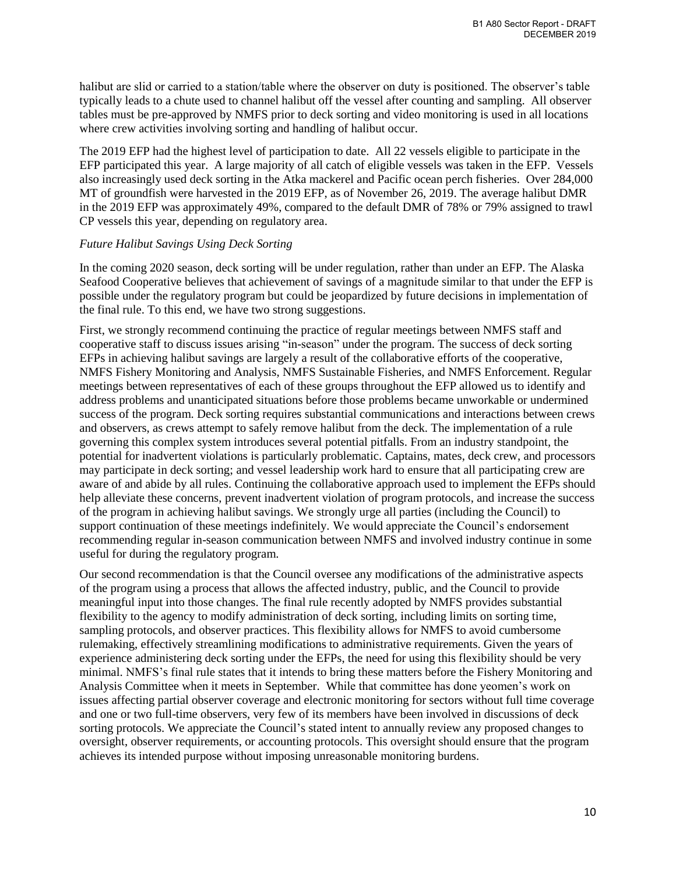halibut are slid or carried to a station/table where the observer on duty is positioned. The observer's table typically leads to a chute used to channel halibut off the vessel after counting and sampling. All observer tables must be pre-approved by NMFS prior to deck sorting and video monitoring is used in all locations where crew activities involving sorting and handling of halibut occur.

The 2019 EFP had the highest level of participation to date. All 22 vessels eligible to participate in the EFP participated this year. A large majority of all catch of eligible vessels was taken in the EFP. Vessels also increasingly used deck sorting in the Atka mackerel and Pacific ocean perch fisheries. Over 284,000 MT of groundfish were harvested in the 2019 EFP, as of November 26, 2019. The average halibut DMR in the 2019 EFP was approximately 49%, compared to the default DMR of 78% or 79% assigned to trawl CP vessels this year, depending on regulatory area.

### *Future Halibut Savings Using Deck Sorting*

In the coming 2020 season, deck sorting will be under regulation, rather than under an EFP. The Alaska Seafood Cooperative believes that achievement of savings of a magnitude similar to that under the EFP is possible under the regulatory program but could be jeopardized by future decisions in implementation of the final rule. To this end, we have two strong suggestions.

First, we strongly recommend continuing the practice of regular meetings between NMFS staff and cooperative staff to discuss issues arising "in-season" under the program. The success of deck sorting EFPs in achieving halibut savings are largely a result of the collaborative efforts of the cooperative, NMFS Fishery Monitoring and Analysis, NMFS Sustainable Fisheries, and NMFS Enforcement. Regular meetings between representatives of each of these groups throughout the EFP allowed us to identify and address problems and unanticipated situations before those problems became unworkable or undermined success of the program. Deck sorting requires substantial communications and interactions between crews and observers, as crews attempt to safely remove halibut from the deck. The implementation of a rule governing this complex system introduces several potential pitfalls. From an industry standpoint, the potential for inadvertent violations is particularly problematic. Captains, mates, deck crew, and processors may participate in deck sorting; and vessel leadership work hard to ensure that all participating crew are aware of and abide by all rules. Continuing the collaborative approach used to implement the EFPs should help alleviate these concerns, prevent inadvertent violation of program protocols, and increase the success of the program in achieving halibut savings. We strongly urge all parties (including the Council) to support continuation of these meetings indefinitely. We would appreciate the Council's endorsement recommending regular in-season communication between NMFS and involved industry continue in some useful for during the regulatory program.

Our second recommendation is that the Council oversee any modifications of the administrative aspects of the program using a process that allows the affected industry, public, and the Council to provide meaningful input into those changes. The final rule recently adopted by NMFS provides substantial flexibility to the agency to modify administration of deck sorting, including limits on sorting time, sampling protocols, and observer practices. This flexibility allows for NMFS to avoid cumbersome rulemaking, effectively streamlining modifications to administrative requirements. Given the years of experience administering deck sorting under the EFPs, the need for using this flexibility should be very minimal. NMFS's final rule states that it intends to bring these matters before the Fishery Monitoring and Analysis Committee when it meets in September. While that committee has done yeomen's work on issues affecting partial observer coverage and electronic monitoring for sectors without full time coverage and one or two full-time observers, very few of its members have been involved in discussions of deck sorting protocols. We appreciate the Council's stated intent to annually review any proposed changes to oversight, observer requirements, or accounting protocols. This oversight should ensure that the program achieves its intended purpose without imposing unreasonable monitoring burdens.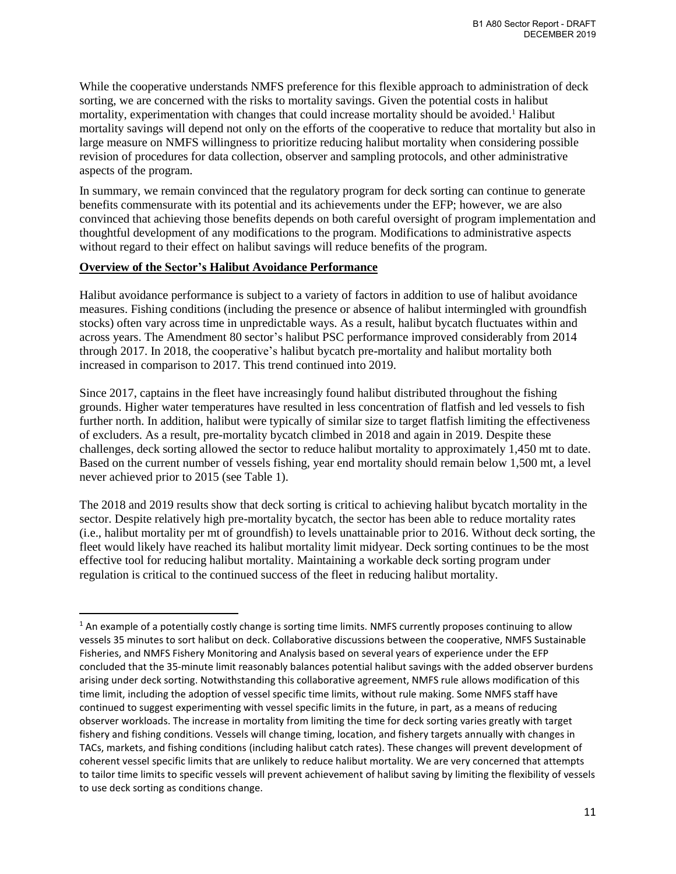While the cooperative understands NMFS preference for this flexible approach to administration of deck sorting, we are concerned with the risks to mortality savings. Given the potential costs in halibut mortality, experimentation with changes that could increase mortality should be avoided.<sup>1</sup> Halibut mortality savings will depend not only on the efforts of the cooperative to reduce that mortality but also in large measure on NMFS willingness to prioritize reducing halibut mortality when considering possible revision of procedures for data collection, observer and sampling protocols, and other administrative aspects of the program.

In summary, we remain convinced that the regulatory program for deck sorting can continue to generate benefits commensurate with its potential and its achievements under the EFP; however, we are also convinced that achieving those benefits depends on both careful oversight of program implementation and thoughtful development of any modifications to the program. Modifications to administrative aspects without regard to their effect on halibut savings will reduce benefits of the program.

# **Overview of the Sector's Halibut Avoidance Performance**

 $\overline{\phantom{a}}$ 

Halibut avoidance performance is subject to a variety of factors in addition to use of halibut avoidance measures. Fishing conditions (including the presence or absence of halibut intermingled with groundfish stocks) often vary across time in unpredictable ways. As a result, halibut bycatch fluctuates within and across years. The Amendment 80 sector's halibut PSC performance improved considerably from 2014 through 2017. In 2018, the cooperative's halibut bycatch pre-mortality and halibut mortality both increased in comparison to 2017. This trend continued into 2019.

Since 2017, captains in the fleet have increasingly found halibut distributed throughout the fishing grounds. Higher water temperatures have resulted in less concentration of flatfish and led vessels to fish further north. In addition, halibut were typically of similar size to target flatfish limiting the effectiveness of excluders. As a result, pre-mortality bycatch climbed in 2018 and again in 2019. Despite these challenges, deck sorting allowed the sector to reduce halibut mortality to approximately 1,450 mt to date. Based on the current number of vessels fishing, year end mortality should remain below 1,500 mt, a level never achieved prior to 2015 (see Table 1).

The 2018 and 2019 results show that deck sorting is critical to achieving halibut bycatch mortality in the sector. Despite relatively high pre-mortality bycatch, the sector has been able to reduce mortality rates (i.e., halibut mortality per mt of groundfish) to levels unattainable prior to 2016. Without deck sorting, the fleet would likely have reached its halibut mortality limit midyear. Deck sorting continues to be the most effective tool for reducing halibut mortality. Maintaining a workable deck sorting program under regulation is critical to the continued success of the fleet in reducing halibut mortality.

 $1$  An example of a potentially costly change is sorting time limits. NMFS currently proposes continuing to allow vessels 35 minutes to sort halibut on deck. Collaborative discussions between the cooperative, NMFS Sustainable Fisheries, and NMFS Fishery Monitoring and Analysis based on several years of experience under the EFP concluded that the 35-minute limit reasonably balances potential halibut savings with the added observer burdens arising under deck sorting. Notwithstanding this collaborative agreement, NMFS rule allows modification of this time limit, including the adoption of vessel specific time limits, without rule making. Some NMFS staff have continued to suggest experimenting with vessel specific limits in the future, in part, as a means of reducing observer workloads. The increase in mortality from limiting the time for deck sorting varies greatly with target fishery and fishing conditions. Vessels will change timing, location, and fishery targets annually with changes in TACs, markets, and fishing conditions (including halibut catch rates). These changes will prevent development of coherent vessel specific limits that are unlikely to reduce halibut mortality. We are very concerned that attempts to tailor time limits to specific vessels will prevent achievement of halibut saving by limiting the flexibility of vessels to use deck sorting as conditions change.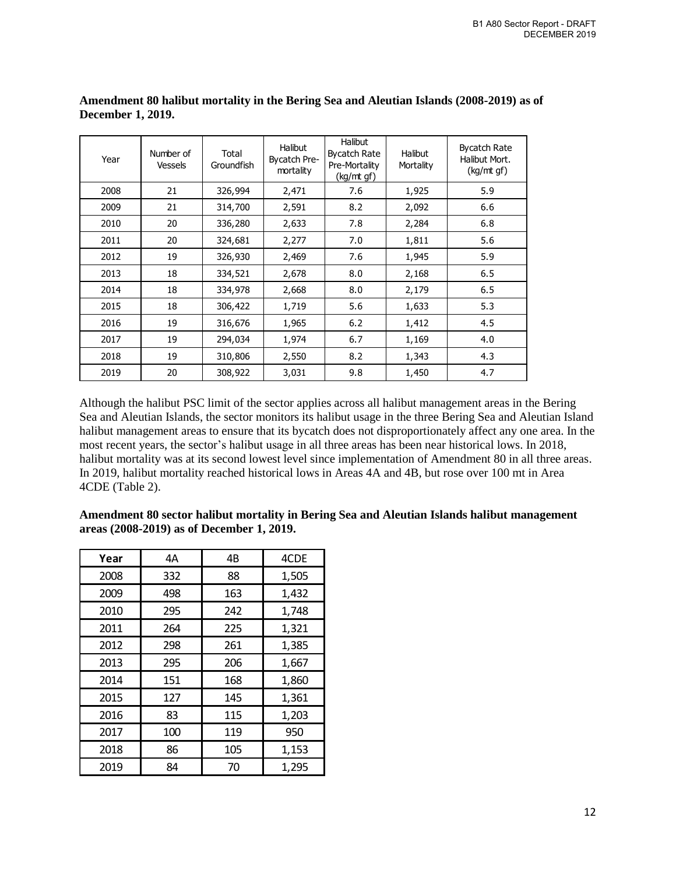| Year | Number of<br><b>Vessels</b> | Total<br>Groundfish | <b>Halibut</b><br>Bycatch Pre-<br>mortality | <b>Halibut</b><br><b>Bycatch Rate</b><br>Pre-Mortality<br>(kq/mt qf) | <b>Halibut</b><br>Mortality | <b>Bycatch Rate</b><br>Halibut Mort.<br>(kg/mt gf) |
|------|-----------------------------|---------------------|---------------------------------------------|----------------------------------------------------------------------|-----------------------------|----------------------------------------------------|
| 2008 | 21                          | 326,994             | 2,471                                       | 7.6                                                                  | 1,925                       | 5.9                                                |
| 2009 | 21                          | 314,700             | 2,591                                       | 8.2                                                                  | 2,092                       | 6.6                                                |
| 2010 | 20                          | 336,280             | 2,633                                       | 7.8                                                                  | 2,284                       | 6.8                                                |
| 2011 | 20                          | 324,681             | 2,277                                       | 7.0                                                                  | 1,811                       | 5.6                                                |
| 2012 | 19                          | 326,930             | 2,469                                       | 7.6                                                                  | 1,945                       | 5.9                                                |
| 2013 | 18                          | 334,521             | 2,678                                       | 8.0                                                                  | 2,168                       | 6.5                                                |
| 2014 | 18                          | 334,978             | 2,668                                       | 8.0                                                                  | 2,179                       | 6.5                                                |
| 2015 | 18                          | 306,422             | 1,719                                       | 5.6                                                                  | 1,633                       | 5.3                                                |
| 2016 | 19                          | 316,676             | 1,965                                       | $6.2$                                                                | 1,412                       | 4.5                                                |
| 2017 | 19                          | 294,034             | 1,974                                       | 6.7                                                                  | 1,169                       | 4.0                                                |
| 2018 | 19                          | 310,806             | 2,550                                       | 8.2                                                                  | 1,343                       | 4.3                                                |
| 2019 | 20                          | 308,922             | 3,031                                       | 9.8                                                                  | 1,450                       | 4.7                                                |

**Amendment 80 halibut mortality in the Bering Sea and Aleutian Islands (2008-2019) as of December 1, 2019.**

Although the halibut PSC limit of the sector applies across all halibut management areas in the Bering Sea and Aleutian Islands, the sector monitors its halibut usage in the three Bering Sea and Aleutian Island halibut management areas to ensure that its bycatch does not disproportionately affect any one area. In the most recent years, the sector's halibut usage in all three areas has been near historical lows. In 2018, halibut mortality was at its second lowest level since implementation of Amendment 80 in all three areas. In 2019, halibut mortality reached historical lows in Areas 4A and 4B, but rose over 100 mt in Area 4CDE (Table 2).

| Amendment 80 sector halibut mortality in Bering Sea and Aleutian Islands halibut management |
|---------------------------------------------------------------------------------------------|
| areas (2008-2019) as of December 1, 2019.                                                   |

| Year | 4A  | 4B  | 4CDE  |
|------|-----|-----|-------|
| 2008 | 332 | 88  | 1,505 |
| 2009 | 498 | 163 | 1,432 |
| 2010 | 295 | 242 | 1,748 |
| 2011 | 264 | 225 | 1,321 |
| 2012 | 298 | 261 | 1,385 |
| 2013 | 295 | 206 | 1,667 |
| 2014 | 151 | 168 | 1,860 |
| 2015 | 127 | 145 | 1,361 |
| 2016 | 83  | 115 | 1,203 |
| 2017 | 100 | 119 | 950   |
| 2018 | 86  | 105 | 1,153 |
| 2019 | 84  | 70  | 1,295 |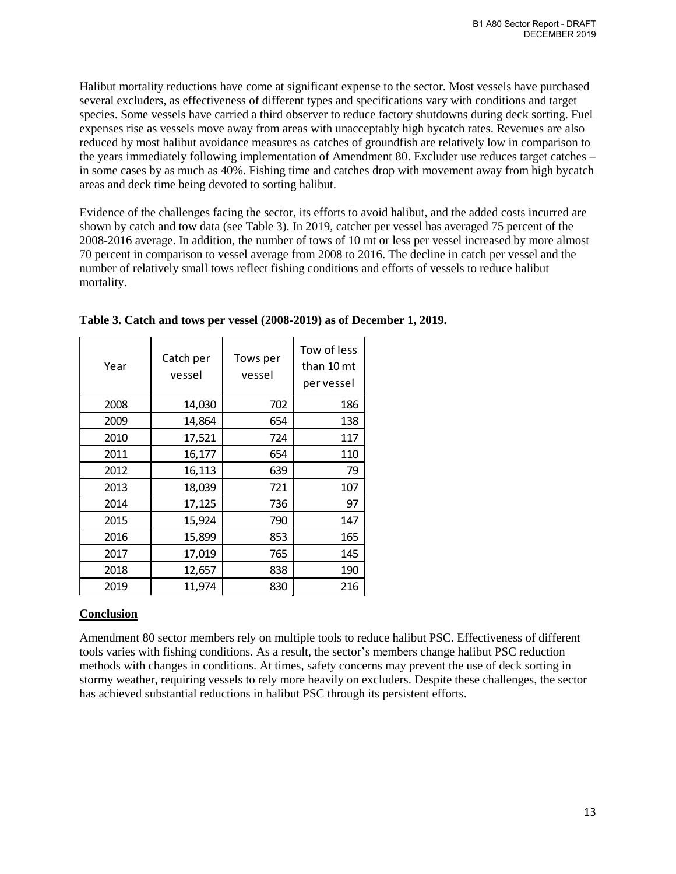Halibut mortality reductions have come at significant expense to the sector. Most vessels have purchased several excluders, as effectiveness of different types and specifications vary with conditions and target species. Some vessels have carried a third observer to reduce factory shutdowns during deck sorting. Fuel expenses rise as vessels move away from areas with unacceptably high bycatch rates. Revenues are also reduced by most halibut avoidance measures as catches of groundfish are relatively low in comparison to the years immediately following implementation of Amendment 80. Excluder use reduces target catches – in some cases by as much as 40%. Fishing time and catches drop with movement away from high bycatch areas and deck time being devoted to sorting halibut.

Evidence of the challenges facing the sector, its efforts to avoid halibut, and the added costs incurred are shown by catch and tow data (see Table 3). In 2019, catcher per vessel has averaged 75 percent of the 2008-2016 average. In addition, the number of tows of 10 mt or less per vessel increased by more almost 70 percent in comparison to vessel average from 2008 to 2016. The decline in catch per vessel and the number of relatively small tows reflect fishing conditions and efforts of vessels to reduce halibut mortality.

| Year | Catch per<br>vessel | Tows per<br>vessel | Tow of less<br>than 10 mt<br>per vessel |
|------|---------------------|--------------------|-----------------------------------------|
| 2008 | 14,030              | 702                | 186                                     |
| 2009 | 14,864              | 654                | 138                                     |
| 2010 | 17,521              | 724                | 117                                     |
| 2011 | 16,177              | 654                | 110                                     |
| 2012 | 16,113              | 639                | 79                                      |
| 2013 | 18,039              | 721                | 107                                     |
| 2014 | 17,125              | 736                | 97                                      |
| 2015 | 15,924              | 790                | 147                                     |
| 2016 | 15,899              | 853                | 165                                     |
| 2017 | 17,019              | 765                | 145                                     |
| 2018 | 12,657              | 838                | 190                                     |
| 2019 | 11,974              | 830                | 216                                     |

**Table 3. Catch and tows per vessel (2008-2019) as of December 1, 2019.**

# **Conclusion**

Amendment 80 sector members rely on multiple tools to reduce halibut PSC. Effectiveness of different tools varies with fishing conditions. As a result, the sector's members change halibut PSC reduction methods with changes in conditions. At times, safety concerns may prevent the use of deck sorting in stormy weather, requiring vessels to rely more heavily on excluders. Despite these challenges, the sector has achieved substantial reductions in halibut PSC through its persistent efforts.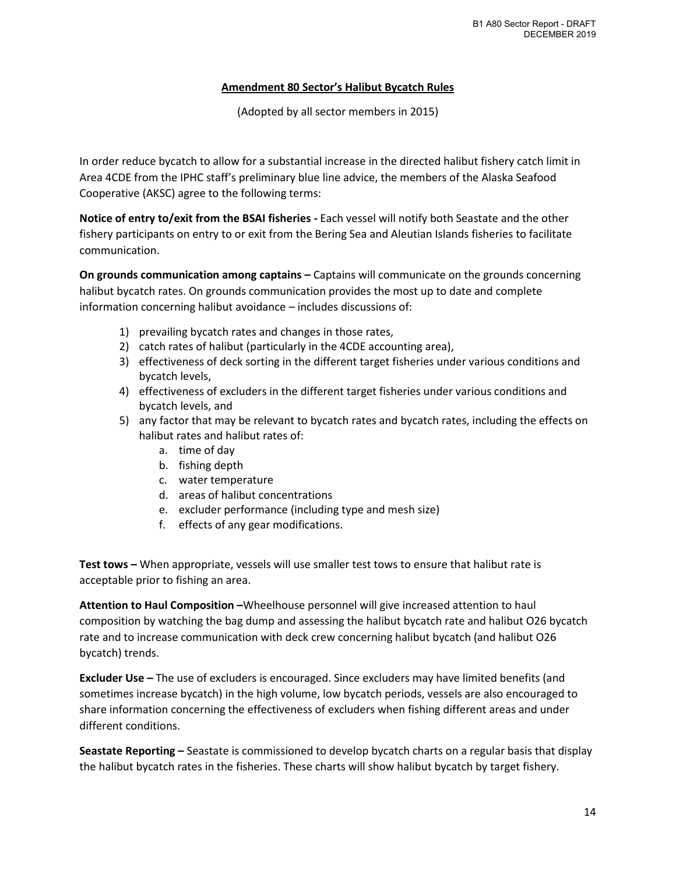# **Amendment 80 Sector's Halibut Bycatch Rules**

(Adopted by all sector members in 2015)

In order reduce bycatch to allow for a substantial increase in the directed halibut fishery catch limit in Area 4CDE from the IPHC staff's preliminary blue line advice, the members of the Alaska Seafood Cooperative (AKSC) agree to the following terms:

**Notice of entry to/exit from the BSAI fisheries -** Each vessel will notify both Seastate and the other fishery participants on entry to or exit from the Bering Sea and Aleutian Islands fisheries to facilitate communication.

**On grounds communication among captains –** Captains will communicate on the grounds concerning halibut bycatch rates. On grounds communication provides the most up to date and complete information concerning halibut avoidance – includes discussions of:

- 1) prevailing bycatch rates and changes in those rates,
- 2) catch rates of halibut (particularly in the 4CDE accounting area),
- 3) effectiveness of deck sorting in the different target fisheries under various conditions and bycatch levels,
- 4) effectiveness of excluders in the different target fisheries under various conditions and bycatch levels, and
- 5) any factor that may be relevant to bycatch rates and bycatch rates, including the effects on halibut rates and halibut rates of:
	- a. time of day
	- b. fishing depth
	- c. water temperature
	- d. areas of halibut concentrations
	- e. excluder performance (including type and mesh size)
	- f. effects of any gear modifications.

**Test tows –** When appropriate, vessels will use smaller test tows to ensure that halibut rate is acceptable prior to fishing an area.

**Attention to Haul Composition –**Wheelhouse personnel will give increased attention to haul composition by watching the bag dump and assessing the halibut bycatch rate and halibut O26 bycatch rate and to increase communication with deck crew concerning halibut bycatch (and halibut O26 bycatch) trends.

**Excluder Use –** The use of excluders is encouraged. Since excluders may have limited benefits (and sometimes increase bycatch) in the high volume, low bycatch periods, vessels are also encouraged to share information concerning the effectiveness of excluders when fishing different areas and under different conditions.

**Seastate Reporting –** Seastate is commissioned to develop bycatch charts on a regular basis that display the halibut bycatch rates in the fisheries. These charts will show halibut bycatch by target fishery.